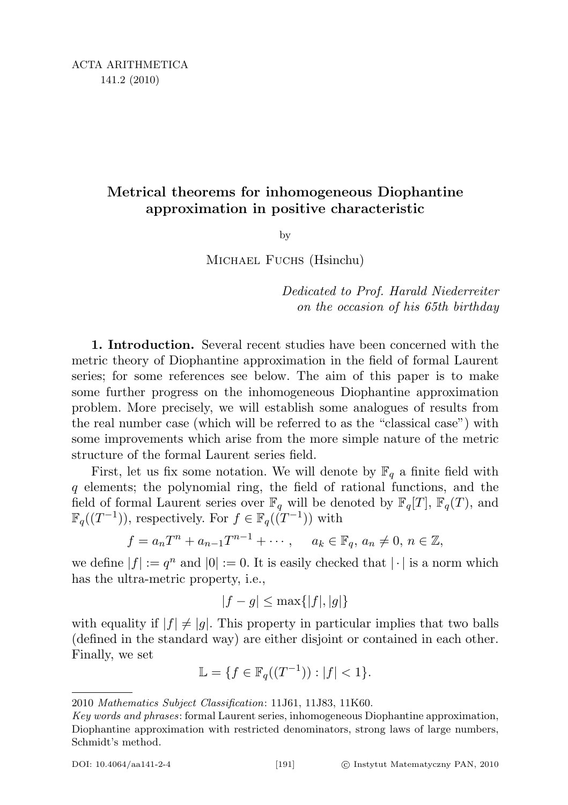## Metrical theorems for inhomogeneous Diophantine approximation in positive characteristic

by

Michael Fuchs (Hsinchu)

Dedicated to Prof. Harald Niederreiter on the occasion of his 65th birthday

1. Introduction. Several recent studies have been concerned with the metric theory of Diophantine approximation in the field of formal Laurent series; for some references see below. The aim of this paper is to make some further progress on the inhomogeneous Diophantine approximation problem. More precisely, we will establish some analogues of results from the real number case (which will be referred to as the "classical case") with some improvements which arise from the more simple nature of the metric structure of the formal Laurent series field.

First, let us fix some notation. We will denote by  $\mathbb{F}_q$  a finite field with q elements; the polynomial ring, the field of rational functions, and the field of formal Laurent series over  $\mathbb{F}_q$  will be denoted by  $\mathbb{F}_q[T], \mathbb{F}_q(T)$ , and  $\mathbb{F}_q((T^{-1}))$ , respectively. For  $f \in \mathbb{F}_q((T^{-1}))$  with

$$
f = a_n T^n + a_{n-1} T^{n-1} + \cdots
$$
,  $a_k \in \mathbb{F}_q$ ,  $a_n \neq 0$ ,  $n \in \mathbb{Z}$ ,

we define  $|f| := q^n$  and  $|0| := 0$ . It is easily checked that  $|\cdot|$  is a norm which has the ultra-metric property, i.e.,

$$
|f - g| \le \max\{|f|, |g|\}
$$

with equality if  $|f| \neq |g|$ . This property in particular implies that two balls (defined in the standard way) are either disjoint or contained in each other. Finally, we set

$$
\mathbb{L} = \{ f \in \mathbb{F}_q((T^{-1})): |f| < 1 \}.
$$

<sup>2010</sup> Mathematics Subject Classification: 11J61, 11J83, 11K60.

Key words and phrases: formal Laurent series, inhomogeneous Diophantine approximation, Diophantine approximation with restricted denominators, strong laws of large numbers, Schmidt's method.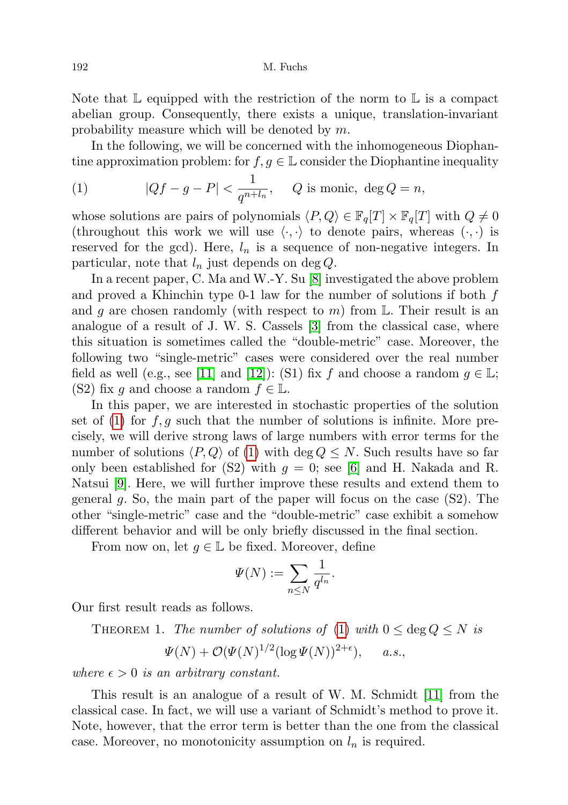Note that  $\mathbb L$  equipped with the restriction of the norm to  $\mathbb L$  is a compact abelian group. Consequently, there exists a unique, translation-invariant probability measure which will be denoted by m.

In the following, we will be concerned with the inhomogeneous Diophantine approximation problem: for  $f, g \in \mathbb{L}$  consider the Diophantine inequality

<span id="page-1-0"></span>(1) 
$$
|Qf - g - P| < \frac{1}{q^{n+l_n}}, \quad Q \text{ is monic, } \deg Q = n,
$$

whose solutions are pairs of polynomials  $\langle P, Q \rangle \in \mathbb{F}_q[T] \times \mathbb{F}_q[T]$  with  $Q \neq 0$ (throughout this work we will use  $\langle \cdot, \cdot \rangle$  to denote pairs, whereas  $(\cdot, \cdot)$  is reserved for the gcd). Here,  $l_n$  is a sequence of non-negative integers. In particular, note that  $l_n$  just depends on deg Q.

In a recent paper, C. Ma and W.-Y. Su [\[8\]](#page-17-0) investigated the above problem and proved a Khinchin type 0-1 law for the number of solutions if both f and g are chosen randomly (with respect to m) from  $\mathbb{L}$ . Their result is an analogue of a result of J. W. S. Cassels [\[3\]](#page-17-1) from the classical case, where this situation is sometimes called the "double-metric" case. Moreover, the following two "single-metric" cases were considered over the real number field as well (e.g., see [\[11\]](#page-17-2) and [\[12\]](#page-17-3)): (S1) fix f and choose a random  $g \in \mathbb{L}$ ; (S2) fix g and choose a random  $f \in \mathbb{L}$ .

In this paper, we are interested in stochastic properties of the solution set of [\(1\)](#page-1-0) for  $f, g$  such that the number of solutions is infinite. More precisely, we will derive strong laws of large numbers with error terms for the number of solutions  $\langle P, Q \rangle$  of [\(1\)](#page-1-0) with deg  $Q \leq N$ . Such results have so far only been established for (S2) with  $g = 0$ ; see [\[6\]](#page-17-4) and H. Nakada and R. Natsui [\[9\]](#page-17-5). Here, we will further improve these results and extend them to general g. So, the main part of the paper will focus on the case  $(S2)$ . The other "single-metric" case and the "double-metric" case exhibit a somehow different behavior and will be only briefly discussed in the final section.

From now on, let  $g \in \mathbb{L}$  be fixed. Moreover, define

$$
\Psi(N) := \sum_{n \le N} \frac{1}{q^{l_n}}.
$$

<span id="page-1-1"></span>Our first result reads as follows.

THEOREM 1. The number of solutions of [\(1\)](#page-1-0) with  $0 \le \deg Q \le N$  is

$$
\Psi(N) + \mathcal{O}(\Psi(N)^{1/2} (\log \Psi(N))^{2+\epsilon}), \quad a.s.,
$$

where  $\epsilon > 0$  is an arbitrary constant.

This result is an analogue of a result of W. M. Schmidt [\[11\]](#page-17-2) from the classical case. In fact, we will use a variant of Schmidt's method to prove it. Note, however, that the error term is better than the one from the classical case. Moreover, no monotonicity assumption on  $l_n$  is required.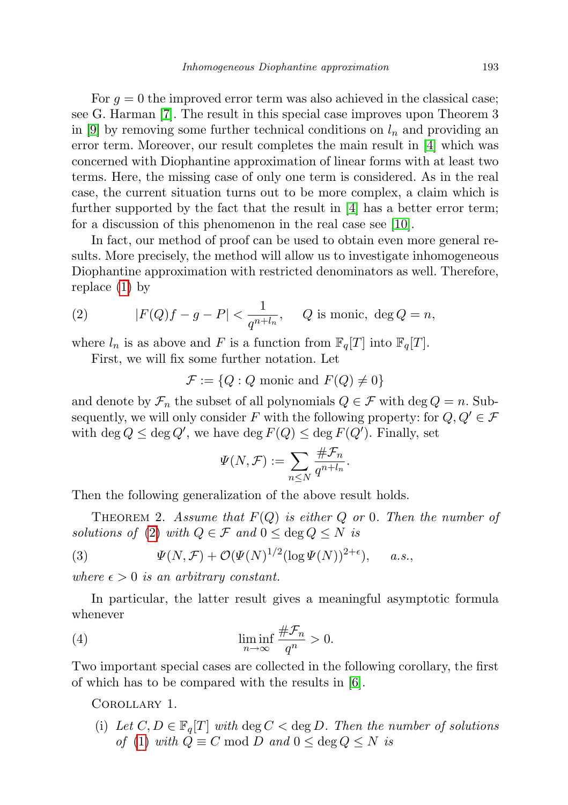For  $g = 0$  the improved error term was also achieved in the classical case; see G. Harman [\[7\]](#page-17-6). The result in this special case improves upon Theorem 3 in [\[9\]](#page-17-5) by removing some further technical conditions on  $l_n$  and providing an error term. Moreover, our result completes the main result in [\[4\]](#page-17-7) which was concerned with Diophantine approximation of linear forms with at least two terms. Here, the missing case of only one term is considered. As in the real case, the current situation turns out to be more complex, a claim which is further supported by the fact that the result in  $[4]$  has a better error term; for a discussion of this phenomenon in the real case see [\[10\]](#page-17-8).

In fact, our method of proof can be used to obtain even more general results. More precisely, the method will allow us to investigate inhomogeneous Diophantine approximation with restricted denominators as well. Therefore, replace [\(1\)](#page-1-0) by

<span id="page-2-0"></span>(2) 
$$
|F(Q)f - g - P| < \frac{1}{q^{n+l_n}}, \quad Q \text{ is monic, } \deg Q = n,
$$

where  $l_n$  is as above and F is a function from  $\mathbb{F}_q[T]$  into  $\mathbb{F}_q[T]$ .

First, we will fix some further notation. Let

$$
\mathcal{F} := \{Q : Q \text{ monic and } F(Q) \neq 0\}
$$

and denote by  $\mathcal{F}_n$  the subset of all polynomials  $Q \in \mathcal{F}$  with deg  $Q = n$ . Subsequently, we will only consider F with the following property: for  $Q, Q' \in \mathcal{F}$ with  $\deg Q \leq \deg Q'$ , we have  $\deg F(Q) \leq \deg F(Q')$ . Finally, set

$$
\Psi(N,\mathcal{F}) := \sum_{n \leq N} \frac{\#\mathcal{F}_n}{q^{n+l_n}}.
$$

Then the following generalization of the above result holds.

<span id="page-2-3"></span>THEOREM 2. Assume that  $F(Q)$  is either Q or 0. Then the number of solutions of [\(2\)](#page-2-0) with  $Q \in \mathcal{F}$  and  $0 \leq \text{deg } Q \leq N$  is

(3) 
$$
\Psi(N,\mathcal{F}) + \mathcal{O}(\Psi(N)^{1/2}(\log \Psi(N))^{2+\epsilon}), \quad a.s.,
$$

where  $\epsilon > 0$  is an arbitrary constant.

In particular, the latter result gives a meaningful asymptotic formula whenever

(4) 
$$
\liminf_{n \to \infty} \frac{\# \mathcal{F}_n}{q^n} > 0.
$$

Two important special cases are collected in the following corollary, the first of which has to be compared with the results in [\[6\]](#page-17-4).

## <span id="page-2-2"></span><span id="page-2-1"></span>Corollary 1.

(i) Let  $C, D \in \mathbb{F}_q[T]$  with  $\deg C < \deg D$ . Then the number of solutions of [\(1\)](#page-1-0) with  $Q \equiv C \mod D$  and  $0 \le \deg Q \le N$  is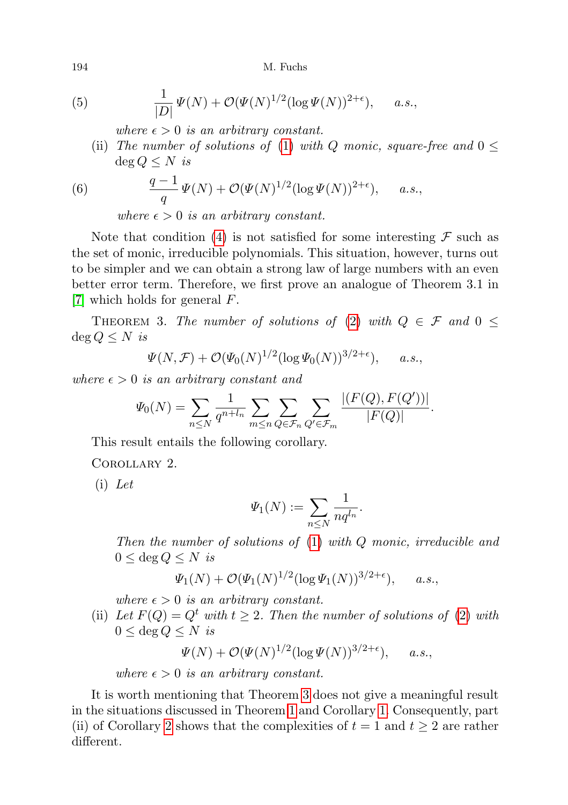(5) 
$$
\frac{1}{|D|}\Psi(N) + \mathcal{O}(\Psi(N)^{1/2}(\log \Psi(N))^{2+\epsilon}), \quad a.s.,
$$

where  $\epsilon > 0$  is an arbitrary constant.

(ii) The number of solutions of [\(1\)](#page-1-0) with Q monic, square-free and  $0 \leq$  $\deg Q \leq N$  is

(6) 
$$
\frac{q-1}{q}\Psi(N) + \mathcal{O}(\Psi(N)^{1/2}(\log \Psi(N))^{2+\epsilon}), \quad a.s.,
$$

where  $\epsilon > 0$  is an arbitrary constant.

Note that condition [\(4\)](#page-2-1) is not satisfied for some interesting  $\mathcal F$  such as the set of monic, irreducible polynomials. This situation, however, turns out to be simpler and we can obtain a strong law of large numbers with an even better error term. Therefore, we first prove an analogue of Theorem 3.1 in [\[7\]](#page-17-6) which holds for general F.

<span id="page-3-0"></span>THEOREM 3. The number of solutions of [\(2\)](#page-2-0) with  $Q \in \mathcal{F}$  and  $0 \leq$  $\deg Q \leq N$  is

$$
\Psi(N,\mathcal{F}) + \mathcal{O}(\Psi_0(N)^{1/2}(\log \Psi_0(N))^{3/2+\epsilon}), \quad a.s.,
$$

where  $\epsilon > 0$  is an arbitrary constant and

$$
\Psi_0(N) = \sum_{n \le N} \frac{1}{q^{n+l_n}} \sum_{m \le n} \sum_{Q \in \mathcal{F}_n} \sum_{Q' \in \mathcal{F}_m} \frac{|(F(Q), F(Q'))|}{|F(Q)|}.
$$

<span id="page-3-1"></span>This result entails the following corollary.

Corollary 2.

(i) Let

$$
\varPsi_1(N):=\sum_{n\leq N}\frac{1}{nq^{l_n}}.
$$

Then the number of solutions of [\(1\)](#page-1-0) with Q monic, irreducible and  $0 \leq \deg Q \leq N$  is

$$
\Psi_1(N) + \mathcal{O}(\Psi_1(N)^{1/2} (\log \Psi_1(N))^{3/2+\epsilon}), \quad a.s.,
$$

where  $\epsilon > 0$  is an arbitrary constant.

(ii) Let  $F(Q) = Q^t$  with  $t \geq 2$ . Then the number of solutions of [\(2\)](#page-2-0) with  $0 \leq \text{deg } Q \leq N$  is

 $\Psi(N) + \mathcal{O}(\Psi(N)^{1/2} (\log \Psi(N))^{3/2+\epsilon}), \quad a.s.,$ 

where  $\epsilon > 0$  is an arbitrary constant.

It is worth mentioning that Theorem [3](#page-3-0) does not give a meaningful result in the situations discussed in Theorem [1](#page-1-1) and Corollary [1.](#page-2-2) Consequently, part (ii) of Corollary [2](#page-3-1) shows that the complexities of  $t = 1$  and  $t \geq 2$  are rather different.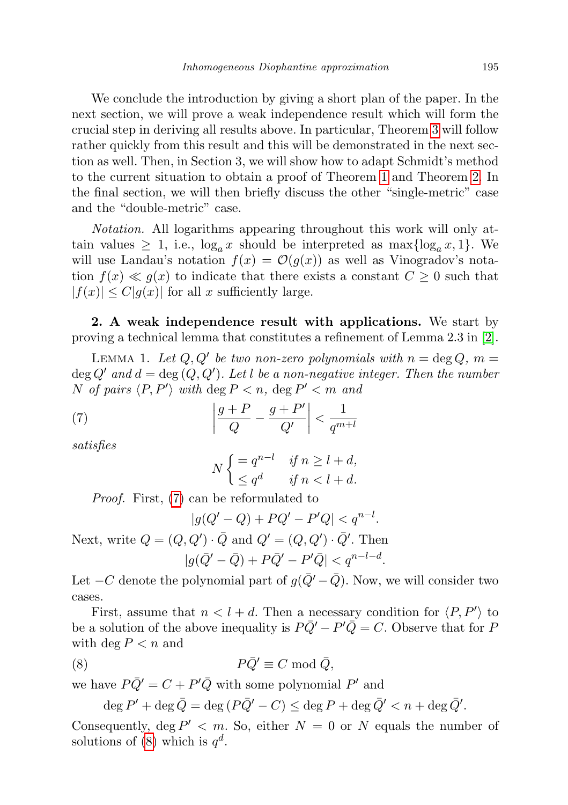We conclude the introduction by giving a short plan of the paper. In the next section, we will prove a weak independence result which will form the crucial step in deriving all results above. In particular, Theorem [3](#page-3-0) will follow rather quickly from this result and this will be demonstrated in the next section as well. Then, in Section 3, we will show how to adapt Schmidt's method to the current situation to obtain a proof of Theorem [1](#page-1-1) and Theorem [2.](#page-2-3) In the final section, we will then briefly discuss the other "single-metric" case and the "double-metric" case.

Notation. All logarithms appearing throughout this work will only attain values  $\geq 1$ , i.e.,  $\log_a x$  should be interpreted as  $\max{\log_a x, 1}$ . We will use Landau's notation  $f(x) = \mathcal{O}(g(x))$  as well as Vinogradov's notation  $f(x) \ll g(x)$  to indicate that there exists a constant  $C \geq 0$  such that  $|f(x)| \leq C|g(x)|$  for all x sufficiently large.

2. A weak independence result with applications. We start by proving a technical lemma that constitutes a refinement of Lemma 2.3 in [\[2\]](#page-17-9).

LEMMA 1. Let  $Q, Q'$  be two non-zero polynomials with  $n = \deg Q$ ,  $m =$  $\deg Q'$  and  $d = \deg (Q, Q')$ . Let l be a non-negative integer. Then the number N of pairs  $\langle P, P' \rangle$  with deg  $P < n$ , deg  $P' < m$  and

(7) 
$$
\left| \frac{g+P}{Q} - \frac{g+P'}{Q'} \right| < \frac{1}{q^{m+l}}
$$

satisfies

<span id="page-4-0"></span>
$$
N\begin{cases} = q^{n-l} & \text{if } n \ge l+d, \\ \le q^d & \text{if } n < l+d. \end{cases}
$$

Proof. First, [\(7\)](#page-4-0) can be reformulated to

$$
|g(Q'-Q) + PQ' - P'Q| < q^{n-l}.
$$

Next, write  $Q = (Q, Q') \cdot \bar{Q}$  and  $Q' = (Q, Q') \cdot \bar{Q}'$ . Then  $|g(\bar{Q}' - \bar{Q}) + P\bar{Q}' - P'\bar{Q}| < q^{n-l-d}.$ 

Let  $-C$  denote the polynomial part of  $g(\bar{Q}'-\bar{Q})$ . Now, we will consider two cases.

First, assume that  $n < l + d$ . Then a necessary condition for  $\langle P, P' \rangle$  to be a solution of the above inequality is  $P\overline{Q}' - P'\overline{Q} = C$ . Observe that for P with  $\deg P < n$  and

$$
(8) \t\t\t P\bar{Q}' \equiv C \bmod \bar{Q},
$$

we have  $P\overline{Q}' = C + P'\overline{Q}$  with some polynomial  $P'$  and

<span id="page-4-1"></span> $\deg P' + \deg \bar{Q} = \deg (P\bar{Q}' - C) \leq \deg P + \deg \bar{Q}' < n + \deg \bar{Q}'.$ 

Consequently, deg  $P' < m$ . So, either  $N = 0$  or N equals the number of solutions of [\(8\)](#page-4-1) which is  $q^d$ .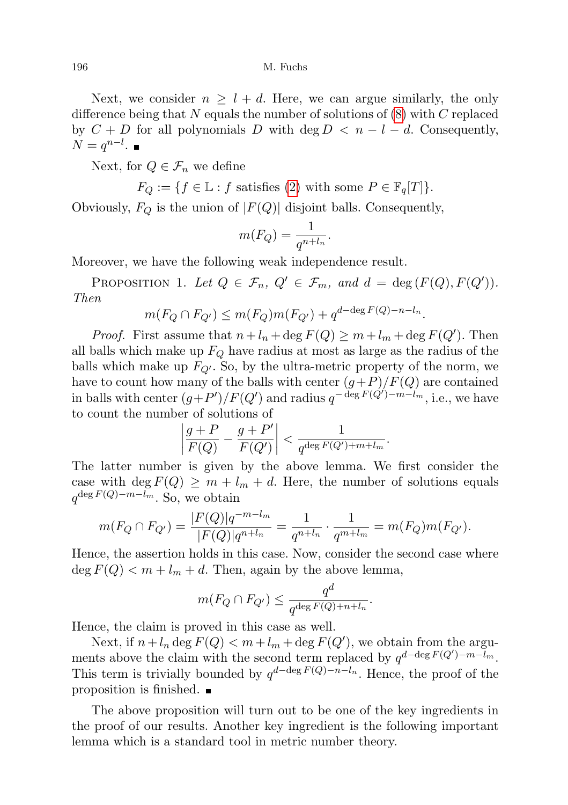Next, we consider  $n \geq l + d$ . Here, we can argue similarly, the only difference being that N equals the number of solutions of  $(8)$  with C replaced by  $C + D$  for all polynomials D with deg  $D < n - l - d$ . Consequently,  $N = q^{n-l}.$ 

Next, for  $Q \in \mathcal{F}_n$  we define

 $F_O := \{ f \in \mathbb{L} : f \text{ satisfies (2) with some } P \in \mathbb{F}_q[T] \}.$  $F_O := \{ f \in \mathbb{L} : f \text{ satisfies (2) with some } P \in \mathbb{F}_q[T] \}.$  $F_O := \{ f \in \mathbb{L} : f \text{ satisfies (2) with some } P \in \mathbb{F}_q[T] \}.$ 

Obviously,  $F_Q$  is the union of  $|F(Q)|$  disjoint balls. Consequently,

$$
m(F_Q) = \frac{1}{q^{n+l_n}}.
$$

Moreover, we have the following weak independence result.

<span id="page-5-0"></span>PROPOSITION 1. Let  $Q \in \mathcal{F}_n$ ,  $Q' \in \mathcal{F}_m$ , and  $d = \deg(F(Q), F(Q'))$ . Then

$$
m(F_Q \cap F_{Q'}) \le m(F_Q)m(F_{Q'}) + q^{d-\deg F(Q) - n - l_n}.
$$

*Proof.* First assume that  $n + l_n + \deg F(Q) \geq m + l_m + \deg F(Q')$ . Then all balls which make up  $F_Q$  have radius at most as large as the radius of the balls which make up  $F_{Q'}$ . So, by the ultra-metric property of the norm, we have to count how many of the balls with center  $(g+P)/F(Q)$  are contained in balls with center  $(g+P')/F(Q')$  and radius  $q^{-\deg F(Q')-m-l_m}$ , i.e., we have to count the number of solutions of

$$
\left|\frac{g+P}{F(Q)}-\frac{g+P'}{F(Q')}\right|<\frac{1}{q^{\deg F(Q')+m+l_m}}.
$$

The latter number is given by the above lemma. We first consider the case with deg  $F(Q) \geq m + l_m + d$ . Here, the number of solutions equals  $q^{\deg F(Q)-m-l_m}$ . So, we obtain

$$
m(F_Q \cap F_{Q'}) = \frac{|F(Q)|q^{-m-l_m}}{|F(Q)|q^{n+l_n}} = \frac{1}{q^{n+l_n}} \cdot \frac{1}{q^{m+l_m}} = m(F_Q)m(F_{Q'}).
$$

Hence, the assertion holds in this case. Now, consider the second case where  $\deg F(Q) < m + l_m + d$ . Then, again by the above lemma,

$$
m(F_Q \cap F_{Q'}) \le \frac{q^d}{q^{\deg F(Q) + n + l_n}}.
$$

Hence, the claim is proved in this case as well.

Next, if  $n + l_n \deg F(Q) < m + l_m + \deg F(Q')$ , we obtain from the arguments above the claim with the second term replaced by  $q^{d-\deg F(Q')-m-\bar{l}_m}$ . This term is trivially bounded by  $q^{d-\deg F(Q)-n-l_n}$ . Hence, the proof of the proposition is finished.  $\blacksquare$ 

<span id="page-5-1"></span>The above proposition will turn out to be one of the key ingredients in the proof of our results. Another key ingredient is the following important lemma which is a standard tool in metric number theory.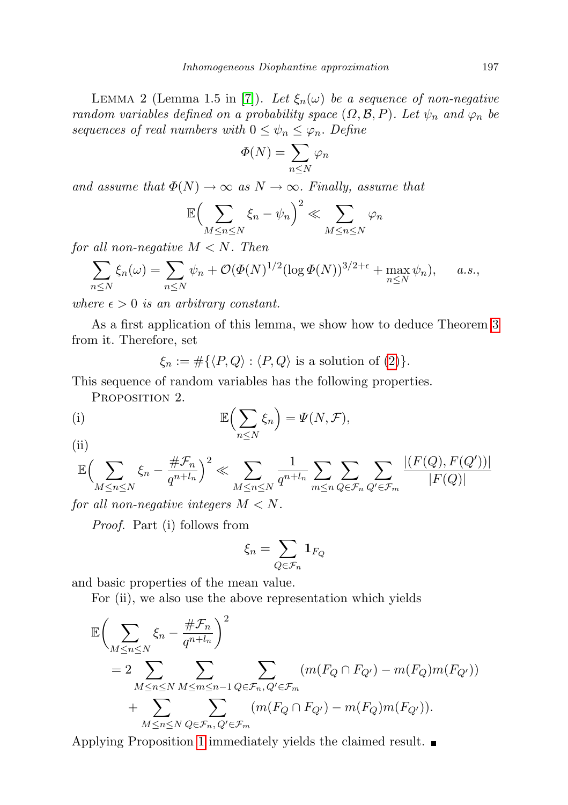LEMMA 2 (Lemma 1.5 in [\[7\]](#page-17-6)). Let  $\xi_n(\omega)$  be a sequence of non-negative random variables defined on a probability space  $(\Omega, \mathcal{B}, P)$ . Let  $\psi_n$  and  $\varphi_n$  be sequences of real numbers with  $0 \leq \psi_n \leq \varphi_n$ . Define

$$
\Phi(N) = \sum_{n \leq N} \varphi_n
$$

and assume that  $\Phi(N) \to \infty$  as  $N \to \infty$ . Finally, assume that

$$
\mathbb{E}\Big(\sum_{M\leq n\leq N}\xi_n-\psi_n\Big)^2\ll\sum_{M\leq n\leq N}\varphi_n
$$

for all non-negative  $M < N$ . Then

$$
\sum_{n\leq N}\xi_n(\omega)=\sum_{n\leq N}\psi_n+\mathcal{O}(\Phi(N)^{1/2}(\log \Phi(N))^{3/2+\epsilon}+\max_{n\leq N}\psi_n),\quad a.s.,
$$

where  $\epsilon > 0$  is an arbitrary constant.

As a first application of this lemma, we show how to deduce Theorem [3](#page-3-0) from it. Therefore, set

 $\xi_n := \#\{\langle P, Q \rangle : \langle P, Q \rangle \text{ is a solution of } (2)\}.$  $\xi_n := \#\{\langle P, Q \rangle : \langle P, Q \rangle \text{ is a solution of } (2)\}.$  $\xi_n := \#\{\langle P, Q \rangle : \langle P, Q \rangle \text{ is a solution of } (2)\}.$ 

This sequence of random variables has the following properties.

PROPOSITION 2.

(i) 
$$
\mathbb{E}\left(\sum_{n\leq N}\xi_n\right)=\Psi(N,\mathcal{F}),
$$

$$
(ii)
$$

$$
\mathbb{E}\Big(\sum_{M\leq n\leq N}\xi_n-\frac{\#\mathcal{F}_n}{q^{n+l_n}}\Big)^2\ll \sum_{M\leq n\leq N}\frac{1}{q^{n+l_n}}\sum_{m\leq n}\sum_{Q\in\mathcal{F}_n}\sum_{Q'\in\mathcal{F}_m}\frac{|(F(Q),F(Q'))|}{|F(Q)|}
$$

for all non-negative integers  $M < N$ .

Proof. Part (i) follows from

$$
\xi_n=\sum_{Q\in\mathcal{F}_n} \mathbf{1}_{F_Q}
$$

and basic properties of the mean value.

For (ii), we also use the above representation which yields

$$
\mathbb{E}\left(\sum_{M\leq n\leq N}\xi_n-\frac{\#\mathcal{F}_n}{q^{n+l_n}}\right)^2
$$
\n
$$
=2\sum_{M\leq n\leq N}\sum_{M\leq m\leq n-1}\sum_{Q\in\mathcal{F}_n,Q'\in\mathcal{F}_m}(m(F_Q\cap F_{Q'})-m(F_Q)m(F_{Q'}))
$$
\n
$$
+\sum_{M\leq n\leq N}\sum_{Q\in\mathcal{F}_n,Q'\in\mathcal{F}_m}(m(F_Q\cap F_{Q'})-m(F_Q)m(F_{Q'})).
$$

Applying Proposition [1](#page-5-0) immediately yields the claimed result.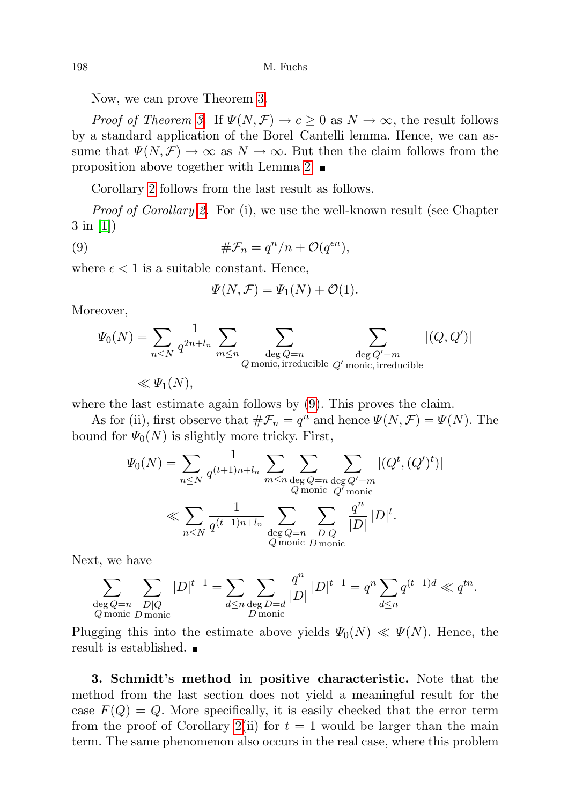Now, we can prove Theorem [3.](#page-3-0)

*Proof of Theorem [3.](#page-3-0)* If  $\Psi(N,\mathcal{F}) \to c \geq 0$  as  $N \to \infty$ , the result follows by a standard application of the Borel–Cantelli lemma. Hence, we can assume that  $\Psi(N,\mathcal{F}) \to \infty$  as  $N \to \infty$ . But then the claim follows from the proposition above together with Lemma [2.](#page-5-1)

Corollary [2](#page-3-1) follows from the last result as follows.

*Proof of Corollary [2.](#page-3-1)* For (i), we use the well-known result (see Chapter 3 in [\[1\]](#page-17-10))

(9) 
$$
\#\mathcal{F}_n = q^n/n + \mathcal{O}(q^{\epsilon n}),
$$

where  $\epsilon < 1$  is a suitable constant. Hence,

<span id="page-7-0"></span>
$$
\Psi(N,\mathcal{F}) = \Psi_1(N) + \mathcal{O}(1).
$$

Moreover,

$$
\Psi_0(N) = \sum_{n \le N} \frac{1}{q^{2n+l_n}} \sum_{m \le n} \sum_{\substack{\deg Q = n \\ Q \text{ monic, irreducible } Q' \text{ monic, irreducible }}} |(Q, Q')|
$$
  

$$
\ll \Psi_1(N),
$$

where the last estimate again follows by [\(9\)](#page-7-0). This proves the claim.

As for (ii), first observe that  $\#\mathcal{F}_n = q^n$  and hence  $\Psi(N,\mathcal{F}) = \Psi(N)$ . The bound for  $\Psi_0(N)$  is slightly more tricky. First,

$$
\Psi_0(N) = \sum_{n \le N} \frac{1}{q^{(t+1)n+l_n}} \sum_{m \le n} \sum_{\substack{\deg Q = n \\ Q \text{ monic } Q' = m \\ Q' \text{ monic } Q' \text{ monic} \\ Q' \text{ monic } Q' \text{ monic} \\ |D|} |(Q^t, (Q')^t)|
$$
  

$$
\ll \sum_{n \le N} \frac{1}{q^{(t+1)n+l_n}} \sum_{\substack{\deg Q = n \\ Q \text{ monic } D \text{ monic} \\ D \text{ monic } D \text{ monic} }} \frac{q^n}{|D|} |D|^t.
$$

Next, we have

$$
\sum_{\substack{\deg Q=n}} \sum_{\substack{D|Q\\Q \text{ monic}}} |D|^{t-1} = \sum_{d \le n} \sum_{\substack{\deg D=d\\D \text{ monic}}} \frac{q^n}{|D|} |D|^{t-1} = q^n \sum_{d \le n} q^{(t-1)d} \ll q^{tn}.
$$

Plugging this into the estimate above yields  $\Psi_0(N) \ll \Psi(N)$ . Hence, the result is established.

3. Schmidt's method in positive characteristic. Note that the method from the last section does not yield a meaningful result for the case  $F(Q) = Q$ . More specifically, it is easily checked that the error term from the proof of Corollary [2\(](#page-3-1)ii) for  $t = 1$  would be larger than the main term. The same phenomenon also occurs in the real case, where this problem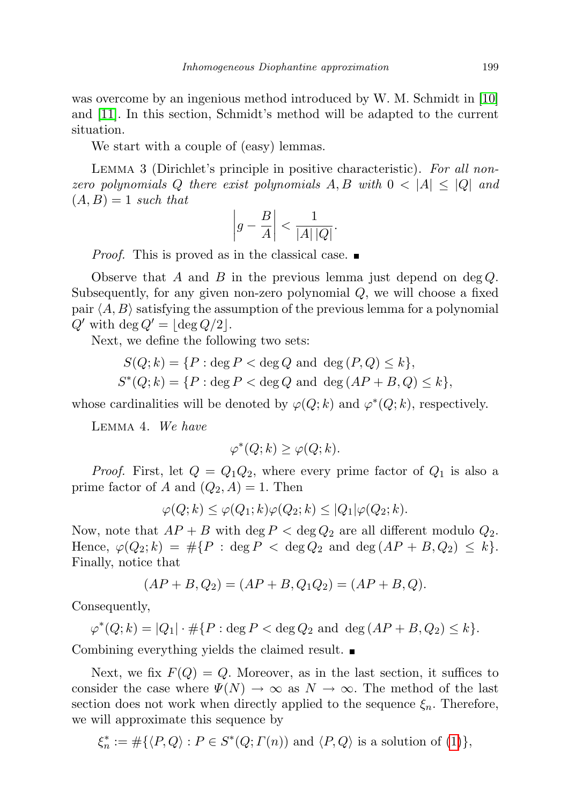was overcome by an ingenious method introduced by W. M. Schmidt in [\[10\]](#page-17-8) and [\[11\]](#page-17-2). In this section, Schmidt's method will be adapted to the current situation.

We start with a couple of (easy) lemmas.

LEMMA 3 (Dirichlet's principle in positive characteristic). For all nonzero polynomials Q there exist polynomials  $A, B$  with  $0 < |A| \leq |Q|$  and  $(A, B) = 1$  such that

$$
\left|g - \frac{B}{A}\right| < \frac{1}{|A| \, |Q|}.
$$

*Proof.* This is proved as in the classical case.

Observe that A and B in the previous lemma just depend on  $\deg Q$ . Subsequently, for any given non-zero polynomial  $Q$ , we will choose a fixed pair  $\langle A, B \rangle$  satisfying the assumption of the previous lemma for a polynomial  $Q'$  with deg  $Q' = \lfloor \deg Q/2 \rfloor$ .

Next, we define the following two sets:

$$
S(Q; k) = \{P : \deg P < \deg Q \text{ and } \deg (P, Q) \leq k\},
$$
  

$$
S^*(Q; k) = \{P : \deg P < \deg Q \text{ and } \deg (AP + B, Q) \leq k\},
$$

whose cardinalities will be denoted by  $\varphi(Q;k)$  and  $\varphi^*(Q;k)$ , respectively.

Lemma 4. We have

$$
\varphi^*(Q;k) \ge \varphi(Q;k).
$$

*Proof.* First, let  $Q = Q_1 Q_2$ , where every prime factor of  $Q_1$  is also a prime factor of A and  $(Q_2, A) = 1$ . Then

$$
\varphi(Q;k) \le \varphi(Q_1;k)\varphi(Q_2;k) \le |Q_1|\varphi(Q_2;k).
$$

Now, note that  $AP + B$  with deg  $P <$  deg  $Q_2$  are all different modulo  $Q_2$ . Hence,  $\varphi(Q_2; k) = \# \{P : \deg P < \deg Q_2 \text{ and } \deg (AP + B, Q_2) \leq k\}.$ Finally, notice that

$$
(AP + B, Q2) = (AP + B, Q1Q2) = (AP + B, Q).
$$

Consequently,

$$
\varphi^*(Q; k) = |Q_1| \cdot \# \{ P : \deg P < \deg Q_2 \text{ and } \deg (AP + B, Q_2) \le k \}.
$$

Combining everything yields the claimed result.

Next, we fix  $F(Q) = Q$ . Moreover, as in the last section, it suffices to consider the case where  $\Psi(N) \to \infty$  as  $N \to \infty$ . The method of the last section does not work when directly applied to the sequence  $\xi_n$ . Therefore, we will approximate this sequence by

$$
\xi_n^* := \# \{ \langle P, Q \rangle : P \in S^*(Q; \Gamma(n)) \text{ and } \langle P, Q \rangle \text{ is a solution of (1)} \},
$$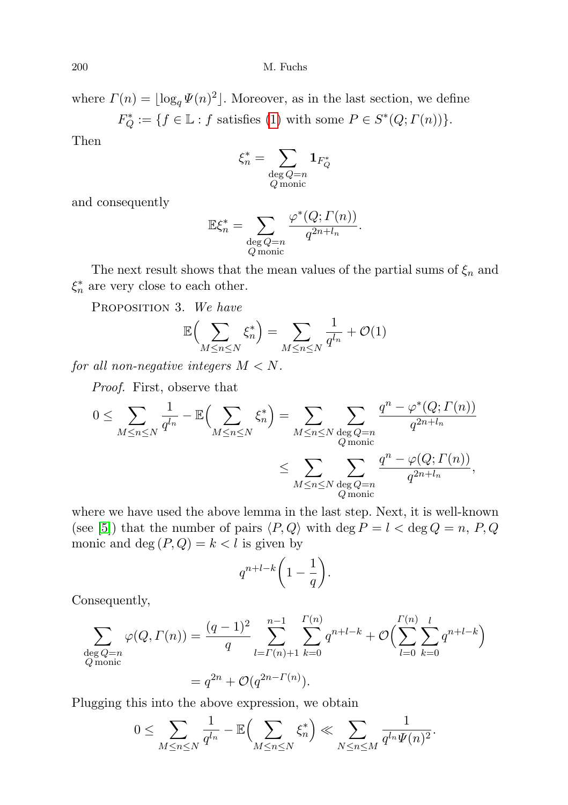where  $\Gamma(n) = \lfloor \log_q \Psi(n)^2 \rfloor$ . Moreover, as in the last section, we define  $F_Q^* := \{ f \in \mathbb{L} : f \text{ satisfies (1) with some } P \in S^*(Q; \Gamma(n)) \}.$  $F_Q^* := \{ f \in \mathbb{L} : f \text{ satisfies (1) with some } P \in S^*(Q; \Gamma(n)) \}.$  $F_Q^* := \{ f \in \mathbb{L} : f \text{ satisfies (1) with some } P \in S^*(Q; \Gamma(n)) \}.$ 

Then

$$
\xi_n^* = \sum_{\substack{\deg Q = n \\ Q \text{ monic}}} \mathbf{1}_{F_Q^*}
$$

and consequently

$$
\mathbb{E}\xi_n^* = \sum_{\substack{\deg Q=n\\Q \text{ monic}}} \frac{\varphi^*(Q; \Gamma(n))}{q^{2n+l_n}}.
$$

The next result shows that the mean values of the partial sums of  $\xi_n$  and  $\xi_n^*$  are very close to each other.

<span id="page-9-0"></span>PROPOSITION 3. We have

$$
\mathbb{E}\Big(\sum_{M\leq n\leq N}\xi_n^*\Big)=\sum_{M\leq n\leq N}\frac{1}{q^{l_n}}+\mathcal{O}(1)
$$

for all non-negative integers  $M < N$ .

Proof. First, observe that

$$
0 \leq \sum_{M \leq n \leq N} \frac{1}{q^{l_n}} - \mathbb{E} \Big( \sum_{M \leq n \leq N} \xi_n^* \Big) = \sum_{M \leq n \leq N} \sum_{\substack{\deg Q = n \\ Q \text{ monic} \\ \deg Q = n}} \frac{q^n - \varphi^*(Q; \Gamma(n))}{q^{2n + l_n}} \\ \leq \sum_{\substack{M \leq n \leq N \\ Q \text{ monic} \\ \deg Q = n}} \frac{q^n - \varphi(Q; \Gamma(n))}{q^{2n + l_n}},
$$

where we have used the above lemma in the last step. Next, it is well-known (see [\[5\]](#page-17-11)) that the number of pairs  $\langle P, Q \rangle$  with deg  $P = l < \text{deg } Q = n, P, Q$ monic and deg  $(P,Q) = k < l$  is given by

$$
q^{n+l-k}\bigg(1-\frac{1}{q}\bigg).
$$

Consequently,

$$
\sum_{\substack{\deg Q=n\\Q \text{ monic}}} \varphi(Q, \Gamma(n)) = \frac{(q-1)^2}{q} \sum_{l=\Gamma(n)+1}^{n-1} \sum_{k=0}^{\Gamma(n)} q^{n+l-k} + \mathcal{O}\Big(\sum_{l=0}^{\Gamma(n)} \sum_{k=0}^{l} q^{n+l-k}\Big)
$$

$$
= q^{2n} + \mathcal{O}(q^{2n-\Gamma(n)}).
$$

Plugging this into the above expression, we obtain

$$
0 \leq \sum_{M \leq n \leq N} \frac{1}{q^{l_n}} - \mathbb{E} \Big( \sum_{M \leq n \leq N} \xi_n^* \Big) \ll \sum_{N \leq n \leq M} \frac{1}{q^{l_n} \Psi(n)^2}.
$$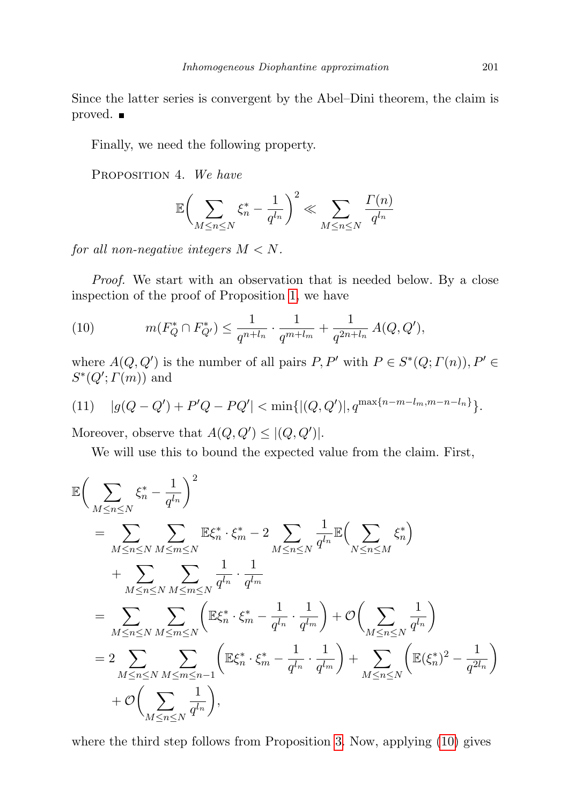Since the latter series is convergent by the Abel–Dini theorem, the claim is proved.

<span id="page-10-2"></span>Finally, we need the following property.

PROPOSITION 4. We have

$$
\mathbb{E}\bigg(\sum_{M\leq n\leq N}\xi_n^*-\frac{1}{q^{l_n}}\bigg)^2\ll \sum_{M\leq n\leq N}\frac{\varGamma(n)}{q^{l_n}}
$$

for all non-negative integers  $M < N$ .

Proof. We start with an observation that is needed below. By a close inspection of the proof of Proposition [1,](#page-5-0) we have

<span id="page-10-0"></span>(10) 
$$
m(F_Q^* \cap F_{Q'}^*) \leq \frac{1}{q^{n+l_n}} \cdot \frac{1}{q^{m+l_m}} + \frac{1}{q^{2n+l_n}} A(Q, Q'),
$$

where  $A(Q, Q')$  is the number of all pairs  $P, P'$  with  $P \in S^*(Q; \Gamma(n)), P' \in$  $S^*(Q'; \Gamma(m))$  and

<span id="page-10-1"></span>(11) 
$$
|g(Q - Q') + P'Q - PQ'| < \min\{|(Q, Q')|, q^{\max\{n-m-l_m, m-n-l_n\}}\}.
$$

Moreover, observe that  $A(Q, Q') \leq |(Q, Q')|$ .

We will use this to bound the expected value from the claim. First,

$$
\mathbb{E}\left(\sum_{M\leq n\leq N}\xi_n^*-\frac{1}{q^{l_n}}\right)^2
$$
\n
$$
=\sum_{M\leq n\leq N}\sum_{M\leq m\leq N}\mathbb{E}\xi_n^*\cdot\xi_m^*-2\sum_{M\leq n\leq N}\frac{1}{q^{l_n}}\mathbb{E}\Big(\sum_{N\leq n\leq M}\xi_n^*\Big)
$$
\n
$$
+\sum_{M\leq n\leq N}\sum_{M\leq m\leq N}\frac{1}{q^{l_n}}\cdot\frac{1}{q^{l_m}}
$$
\n
$$
=\sum_{M\leq n\leq N}\sum_{M\leq m\leq N}\left(\mathbb{E}\xi_n^*\cdot\xi_m^*-\frac{1}{q^{l_n}}\cdot\frac{1}{q^{l_m}}\right)+\mathcal{O}\Big(\sum_{M\leq n\leq N}\frac{1}{q^{l_n}}\Big)
$$
\n
$$
=2\sum_{M\leq n\leq N}\sum_{M\leq m\leq n-1}\left(\mathbb{E}\xi_n^*\cdot\xi_m^*-\frac{1}{q^{l_n}}\cdot\frac{1}{q^{l_m}}\right)+\sum_{M\leq n\leq N}\left(\mathbb{E}(\xi_n^*)^2-\frac{1}{q^{2l_n}}\right)
$$
\n
$$
+\mathcal{O}\Big(\sum_{M\leq n\leq N}\frac{1}{q^{l_n}}\Big),
$$

where the third step follows from Proposition [3.](#page-9-0) Now, applying [\(10\)](#page-10-0) gives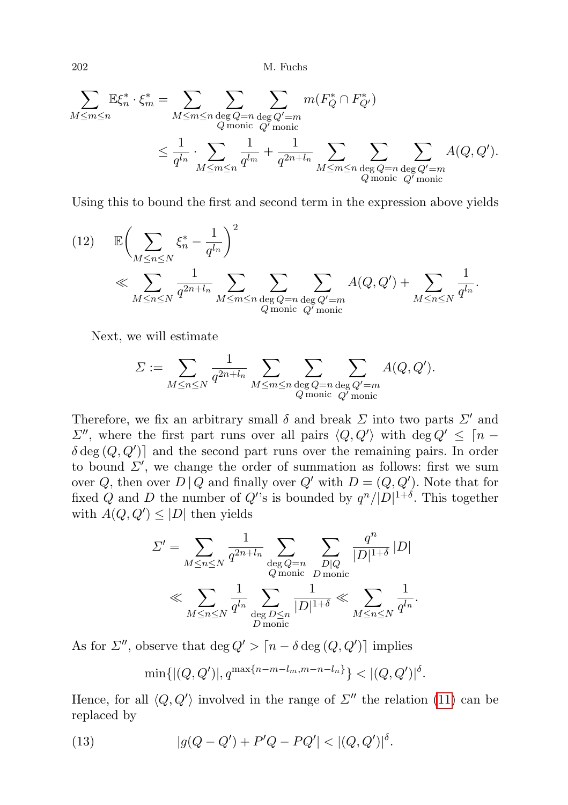$$
\sum_{M \leq m \leq n} \mathbb{E} \xi_n^* \cdot \xi_m^* = \sum_{M \leq m \leq n} \sum_{\substack{\deg Q = n \\ Q \text{ monic } Q' \text{ monic} \\ \deg Q = n}} \sum_{\substack{\deg Q' = m \\ \deg Q' = m}} m(F_Q^* \cap F_{Q'}^*)
$$
\n
$$
\leq \frac{1}{q^{l_n}} \cdot \sum_{M \leq m \leq n} \frac{1}{q^{l_m}} + \frac{1}{q^{2n + l_n}} \sum_{M \leq m \leq n} \sum_{\substack{\deg Q = n \\ Q \text{ monic } Q' = m \\ \deg Q' = m}} A(Q, Q').
$$

Using this to bound the first and second term in the expression above yields

<span id="page-11-1"></span>(12) 
$$
\mathbb{E}\left(\sum_{M\leq n\leq N}\xi_n^*-\frac{1}{q^{l_n}}\right)^2
$$
  

$$
\ll \sum_{M\leq n\leq N}\frac{1}{q^{2n+l_n}}\sum_{M\leq m\leq n}\sum_{\substack{\deg Q=n\\\text{q monic }Q'\text{ monic}}}A(Q,Q')+\sum_{M\leq n\leq N}\frac{1}{q^{l_n}}.
$$

Next, we will estimate

$$
\varSigma := \sum_{M \le n \le N} \frac{1}{q^{2n+l_n}} \sum_{M \le m \le n} \sum_{\substack{\deg Q = n \\ Q \text{ monic}}} \sum_{\substack{Q' = m \\ Q' \text{ monic}}} A(Q, Q').
$$

Therefore, we fix an arbitrary small  $\delta$  and break  $\Sigma$  into two parts  $\Sigma'$  and  $\Sigma''$ , where the first part runs over all pairs  $\langle Q, Q' \rangle$  with deg  $Q' \leq \lceil n - 1 \rceil$  $\delta \deg(Q, Q')$  and the second part runs over the remaining pairs. In order to bound  $\Sigma'$ , we change the order of summation as follows: first we sum over Q, then over  $D | Q$  and finally over  $Q'$  with  $D = (Q, Q')$ . Note that for fixed Q and D the number of Q's is bounded by  $q^{n}/|D|^{1+\delta}$ . This together with  $A(Q, Q') \leq |D|$  then yields

$$
\begin{split} \varSigma' &= \sum_{M \leq n \leq N} \frac{1}{q^{2n+l_n}} \sum_{\substack{\deg Q = n \\ Q \text{ monic} \\ D \text{ monic}}} \sum_{\substack{D | Q \\ D \text{ monic} \\ D \text{ monic}}} \frac{q^n}{|D|^{1+\delta}} \, |D| \\ &\ll \sum_{M \leq n \leq N} \frac{1}{q^{l_n}} \sum_{\substack{\deg D \leq n \\ D \text{ monic}}} \frac{1}{|D|^{1+\delta}} \ll \sum_{M \leq n \leq N} \frac{1}{q^{l_n}}. \end{split}
$$

As for  $\Sigma''$ , observe that deg  $Q' > [n - \delta \deg(Q, Q')]$  implies

<span id="page-11-0"></span>
$$
\min\{|(Q,Q')|, q^{\max\{n-m-l_m, m-n-l_n\}}\} < |(Q,Q')|^\delta.
$$

Hence, for all  $\langle Q, Q' \rangle$  involved in the range of  $\Sigma''$  the relation [\(11\)](#page-10-1) can be replaced by

(13) 
$$
|g(Q - Q') + P'Q - PQ'| < |(Q, Q')|^{\delta}.
$$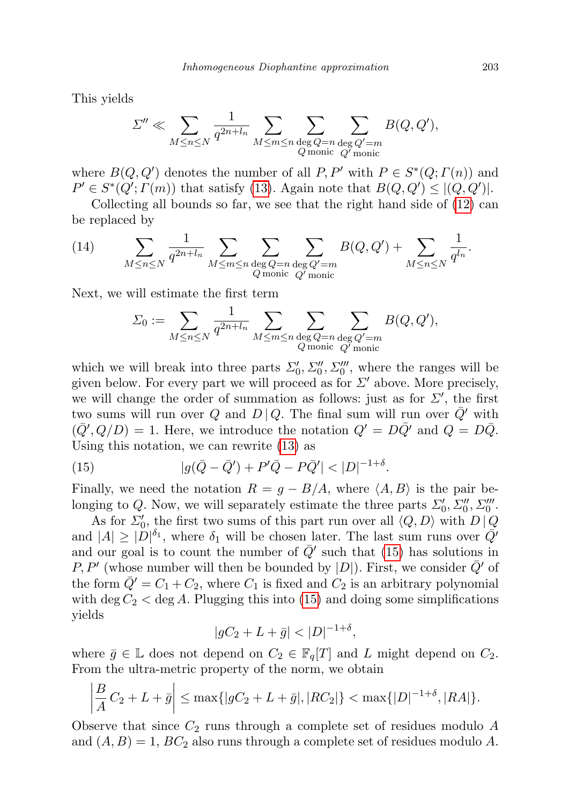This yields

$$
\varSigma'' \ll \sum_{M \leq n \leq N} \frac{1}{q^{2n+l_n}} \sum_{M \leq m \leq n} \sum_{\substack{\deg Q = n \\ Q \text{ monic}}} \sum_{\substack{Q' = m \\ Q' \text{ monic}}} B(Q, Q'),
$$

where  $B(Q, Q')$  denotes the number of all  $P, P'$  with  $P \in S^*(Q; \Gamma(n))$  and  $P' \in S^*(Q'; \Gamma(m))$  that satisfy [\(13\)](#page-11-0). Again note that  $B(Q, Q') \leq |(Q, Q')|$ .

Collecting all bounds so far, we see that the right hand side of [\(12\)](#page-11-1) can be replaced by

<span id="page-12-1"></span>(14) 
$$
\sum_{M \leq n \leq N} \frac{1}{q^{2n+l_n}} \sum_{M \leq m \leq n} \sum_{\substack{\deg Q = n \\ Q \text{ monic}}} \sum_{\substack{Q' = m \\ Q' \text{ monic}}} B(Q, Q') + \sum_{M \leq n \leq N} \frac{1}{q^{l_n}}.
$$

Next, we will estimate the first term

$$
\Sigma_0 := \sum_{M \le n \le N} \frac{1}{q^{2n+l_n}} \sum_{M \le m \le n} \sum_{\substack{\deg Q = n \\ Q \text{ monic}}} \sum_{\substack{Q' = m \\ Q' \text{ monic}}} B(Q, Q'),
$$

which we will break into three parts  $\Sigma'_0, \Sigma''_0, \Sigma'''_0$ , where the ranges will be given below. For every part we will proceed as for  $\Sigma'$  above. More precisely, we will change the order of summation as follows: just as for  $\Sigma'$ , the first two sums will run over Q and  $D | Q$ . The final sum will run over  $\overline{Q}'$  with  $(\bar{Q}', Q/D) = 1$ . Here, we introduce the notation  $Q' = D\bar{Q}'$  and  $Q = D\bar{Q}$ . Using this notation, we can rewrite [\(13\)](#page-11-0) as

<span id="page-12-0"></span>(15) 
$$
|g(\bar{Q} - \bar{Q}') + P'\bar{Q} - P\bar{Q}'| < |D|^{-1+\delta}.
$$

Finally, we need the notation  $R = g - B/A$ , where  $\langle A, B \rangle$  is the pair belonging to Q. Now, we will separately estimate the three parts  $\Sigma'_0, \Sigma''_0, \Sigma'''_0$ .

As for  $\Sigma_0'$ , the first two sums of this part run over all  $\langle Q, D \rangle$  with  $D | Q$ and  $|A| \geq |\tilde{D}|^{\delta_1}$ , where  $\delta_1$  will be chosen later. The last sum runs over  $\overline{Q}$ <sup>*i*</sup> and our goal is to count the number of  $\overline{Q}'$  such that [\(15\)](#page-12-0) has solutions in P, P' (whose number will then be bounded by  $|D|$ ). First, we consider  $\overline{Q}'$  of the form  $\overline{Q}' = C_1 + C_2$ , where  $C_1$  is fixed and  $C_2$  is an arbitrary polynomial with deg  $C_2 <$  deg A. Plugging this into [\(15\)](#page-12-0) and doing some simplifications yields

$$
|gC_2 + L + \bar{g}| < |D|^{-1+\delta},
$$

where  $\bar{g} \in \mathbb{L}$  does not depend on  $C_2 \in \mathbb{F}_q[T]$  and L might depend on  $C_2$ . From the ultra-metric property of the norm, we obtain

$$
\left|\frac{B}{A}C_2+L+\bar{g}\right| \le \max\{|gC_2+L+\bar{g}|,|RC_2|\} < \max\{|D|^{-1+\delta},|RA|\}.
$$

Observe that since  $C_2$  runs through a complete set of residues modulo A and  $(A, B) = 1$ ,  $BC_2$  also runs through a complete set of residues modulo A.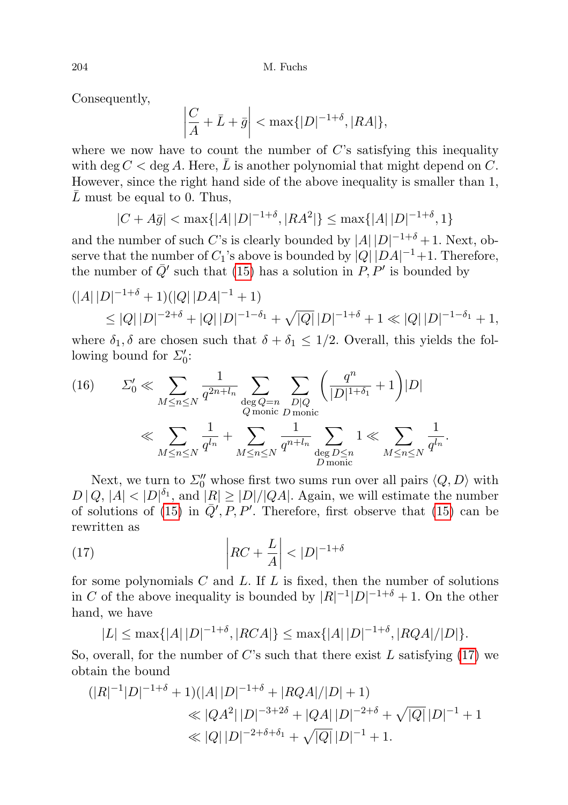Consequently,

$$
\left|\frac{C}{A} + \bar{L} + \bar{g}\right| < \max\{|D|^{-1+\delta}, |RA|\},
$$

where we now have to count the number of  $C$ 's satisfying this inequality with deg  $C <$  deg A. Here, L is another polynomial that might depend on C. However, since the right hand side of the above inequality is smaller than 1,  $L$  must be equal to 0. Thus,

$$
|C + A\bar{g}| < \max\{|A| \, |D|^{-1+\delta}, |RA^2|\} \le \max\{|A| \, |D|^{-1+\delta}, 1\}
$$

and the number of such C's is clearly bounded by  $|A||D|^{-1+\delta}+1$ . Next, observe that the number of  $C_1$ 's above is bounded by  $|Q| |DA|^{-1}+1$ . Therefore, the number of  $\overline{Q}'$  such that [\(15\)](#page-12-0) has a solution in  $\overline{P}$ ,  $\overline{P}'$  is bounded by

$$
(|A||D|^{-1+\delta} + 1)(|Q||DA|^{-1} + 1)
$$
  
\n
$$
\leq |Q||D|^{-2+\delta} + |Q||D|^{-1-\delta_1} + \sqrt{|Q|}|D|^{-1+\delta} + 1 \ll |Q||D|^{-1-\delta_1} + 1,
$$

where  $\delta_1, \delta$  are chosen such that  $\delta + \delta_1 \leq 1/2$ . Overall, this yields the following bound for  $\Sigma'_0$ :

<span id="page-13-1"></span>(16) 
$$
\Sigma'_{0} \ll \sum_{M \leq n \leq N} \frac{1}{q^{2n+l_{n}}} \sum_{\substack{\text{deg }Q=n\\Q \text{ monic}}} \sum_{\substack{D|Q\\D \text{ monic}}} \left(\frac{q^{n}}{|D|^{1+\delta_{1}}} + 1\right)|D|
$$

$$
\ll \sum_{M \leq n \leq N} \frac{1}{q^{l_{n}}} + \sum_{M \leq n \leq N} \frac{1}{q^{n+l_{n}}} \sum_{\substack{\text{deg }D \leq n\\D \text{ monic}}} 1 \ll \sum_{M \leq n \leq N} \frac{1}{q^{l_{n}}}.
$$

Next, we turn to  $\Sigma_0''$  whose first two sums run over all pairs  $\langle Q, D \rangle$  with  $D | Q, |A| < |D|^{\delta_1}$ , and  $|R| \ge |D|/|QA|$ . Again, we will estimate the number of solutions of [\(15\)](#page-12-0) in  $\overline{Q}'$ , P, P'. Therefore, first observe that (15) can be rewritten as

(17) 
$$
\left| RC + \frac{L}{A} \right| < |D|^{-1+\delta}
$$

for some polynomials  $C$  and  $L$ . If  $L$  is fixed, then the number of solutions in C of the above inequality is bounded by  $|R|^{-1}|D|^{-1+\delta}+1$ . On the other hand, we have

<span id="page-13-0"></span>
$$
|L| \le \max\{|A| |D|^{-1+\delta}, |RCA|\} \le \max\{|A| |D|^{-1+\delta}, |RQA|/|D|\}.
$$

So, overall, for the number of  $C$ 's such that there exist  $L$  satisfying [\(17\)](#page-13-0) we obtain the bound

$$
(|R|^{-1}|D|^{-1+\delta} + 1)(|A||D|^{-1+\delta} + |RQA|/|D| + 1)
$$
  
\n
$$
\ll |QA^2||D|^{-3+2\delta} + |QA||D|^{-2+\delta} + \sqrt{|Q|}|D|^{-1} + 1
$$
  
\n
$$
\ll |Q||D|^{-2+\delta+\delta_1} + \sqrt{|Q|}|D|^{-1} + 1.
$$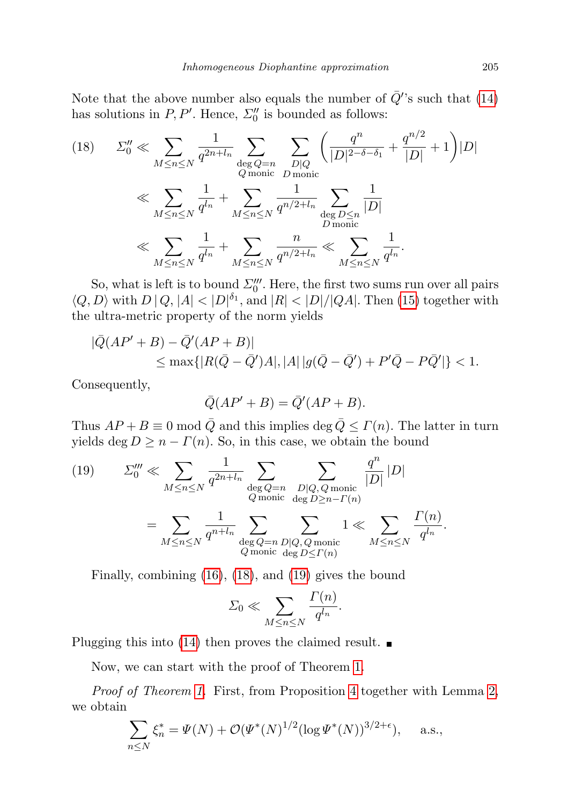Note that the above number also equals the number of  $\bar{Q}$ 's such that [\(14\)](#page-12-1) has solutions in  $P, P'$ . Hence,  $\Sigma_0''$  is bounded as follows:

<span id="page-14-0"></span>(18) 
$$
\Sigma_0'' \ll \sum_{M \le n \le N} \frac{1}{q^{2n+l_n}} \sum_{\substack{\text{deg }Q=n\\Q \text{ monic}}} \sum_{\substack{D|Q\\D \text{ monic}}} \left( \frac{q^n}{|D|^{2-\delta-\delta_1}} + \frac{q^{n/2}}{|D|} + 1 \right) |D|
$$

$$
\ll \sum_{M \le n \le N} \frac{1}{q^{l_n}} + \sum_{M \le n \le N} \frac{1}{q^{n/2+l_n}} \sum_{\substack{\text{deg }D \le n\\D \text{ monic}}} \frac{1}{|D|}
$$

$$
\ll \sum_{M \le n \le N} \frac{1}{q^{l_n}} + \sum_{M \le n \le N} \frac{n}{q^{n/2+l_n}} \ll \sum_{M \le n \le N} \frac{1}{q^{l_n}}.
$$

So, what is left is to bound  $\Sigma_0'''$ . Here, the first two sums run over all pairs  $\langle Q, D \rangle$  with  $D | Q, |A| < |D|^{\delta_1}$ , and  $|R| < |D|/|QA|$ . Then [\(15\)](#page-12-0) together with the ultra-metric property of the norm yields

$$
\begin{aligned} |\bar{Q}(AP' + B) - \bar{Q}'(AP + B)| \\ &\leq \max\{|R(\bar{Q} - \bar{Q}')A|, |A| \, |g(\bar{Q} - \bar{Q}') + P'\bar{Q} - P\bar{Q}'|\} < 1. \end{aligned}
$$

Consequently,

$$
\overline{Q}(AP' + B) = \overline{Q}'(AP + B).
$$

Thus  $AP + B \equiv 0 \mod \bar{Q}$  and this implies deg  $\bar{Q} \leq \Gamma(n)$ . The latter in turn yields deg  $D \geq n - \Gamma(n)$ . So, in this case, we obtain the bound

<span id="page-14-1"></span>(19) 
$$
\sum_{0}^{m} \ll \sum_{M \leq n \leq N} \frac{1}{q^{2n+l_n}} \sum_{\substack{\text{deg }Q=n\\Q \text{ monic} \\ \text{deg }D \geq n-\Gamma(n)}} \sum_{\substack{\text{dip }Q \text{ monic} \\ \text{deg }D \geq n-\Gamma(n)}} \frac{q^n}{|D|} |D|
$$

$$
= \sum_{M \leq n \leq N} \frac{1}{q^{n+l_n}} \sum_{\substack{\text{deg }Q=n\\Q \text{ monic} \\ \text{deg }D \leq \Gamma(n)}} 1 \ll \sum_{M \leq n \leq N} \frac{\Gamma(n)}{q^{l_n}}.
$$

Finally, combining [\(16\)](#page-13-1), [\(18\)](#page-14-0), and [\(19\)](#page-14-1) gives the bound

$$
\Sigma_0 \ll \sum_{M \le n \le N} \frac{\Gamma(n)}{q^{l_n}}.
$$

Plugging this into [\(14\)](#page-12-1) then proves the claimed result.  $\blacksquare$ 

Now, we can start with the proof of Theorem [1.](#page-1-1)

Proof of Theorem [1.](#page-1-1) First, from Proposition [4](#page-10-2) together with Lemma [2,](#page-5-1) we obtain

$$
\sum_{n \le N} \xi_n^* = \Psi(N) + \mathcal{O}(\Psi^*(N)^{1/2} (\log \Psi^*(N))^{3/2 + \epsilon}), \quad \text{a.s.},
$$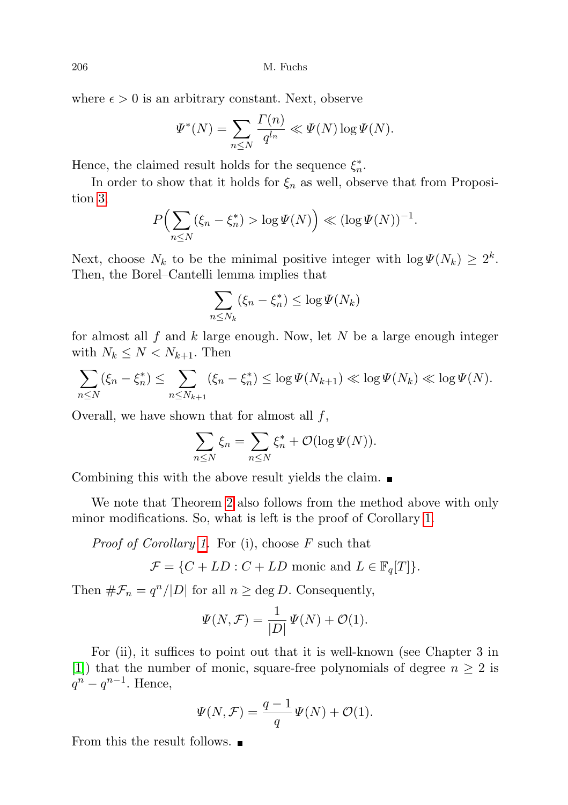where  $\epsilon > 0$  is an arbitrary constant. Next, observe

$$
\Psi^*(N) = \sum_{n \le N} \frac{\Gamma(n)}{q^{l_n}} \ll \Psi(N) \log \Psi(N).
$$

Hence, the claimed result holds for the sequence  $\xi_n^*$ .

In order to show that it holds for  $\xi_n$  as well, observe that from Proposition [3,](#page-9-0)

$$
P\left(\sum_{n\leq N}(\xi_n-\xi_n^*)>\log \Psi(N)\right)\ll (\log \Psi(N))^{-1}.
$$

Next, choose  $N_k$  to be the minimal positive integer with  $\log \Psi(N_k) \geq 2^k$ . Then, the Borel–Cantelli lemma implies that

$$
\sum_{n \le N_k} (\xi_n - \xi_n^*) \le \log \Psi(N_k)
$$

for almost all f and k large enough. Now, let N be a large enough integer with  $N_k \leq N < N_{k+1}$ . Then

$$
\sum_{n \leq N} (\xi_n - \xi_n^*) \leq \sum_{n \leq N_{k+1}} (\xi_n - \xi_n^*) \leq \log \Psi(N_{k+1}) \ll \log \Psi(N_k) \ll \log \Psi(N).
$$

Overall, we have shown that for almost all  $f$ ,

$$
\sum_{n\leq N}\xi_n=\sum_{n\leq N}\xi_n^*+\mathcal{O}(\log \Psi(N)).
$$

Combining this with the above result yields the claim.  $\blacksquare$ 

We note that Theorem [2](#page-2-3) also follows from the method above with only minor modifications. So, what is left is the proof of Corollary [1.](#page-2-2)

*Proof of Corollary [1.](#page-2-2)* For (i), choose  $F$  such that

$$
\mathcal{F} = \{ C + LD : C + LD \text{ monic and } L \in \mathbb{F}_q[T] \}.
$$

Then  $\#\mathcal{F}_n = q^n/|D|$  for all  $n \geq \text{deg } D$ . Consequently,

$$
\Psi(N,\mathcal{F}) = \frac{1}{|D|}\Psi(N) + \mathcal{O}(1).
$$

For (ii), it suffices to point out that it is well-known (see Chapter 3 in [\[1\]](#page-17-10)) that the number of monic, square-free polynomials of degree  $n \geq 2$  is  $q^n - q^{n-1}$ . Hence,

$$
\Psi(N,\mathcal{F}) = \frac{q-1}{q}\Psi(N) + \mathcal{O}(1).
$$

From this the result follows.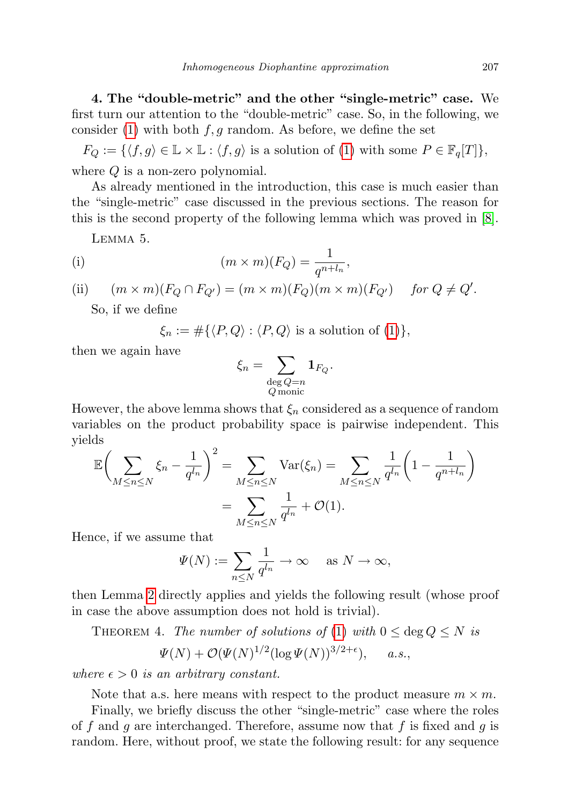4. The "double-metric" and the other "single-metric" case. We first turn our attention to the "double-metric" case. So, in the following, we consider [\(1\)](#page-1-0) with both  $f, g$  random. As before, we define the set

 $F_Q := \{ \langle f, g \rangle \in \mathbb{L} \times \mathbb{L} : \langle f, g \rangle \text{ is a solution of (1) with some } P \in \mathbb{F}_q[T] \},\$  $F_Q := \{ \langle f, g \rangle \in \mathbb{L} \times \mathbb{L} : \langle f, g \rangle \text{ is a solution of (1) with some } P \in \mathbb{F}_q[T] \},\$  $F_Q := \{ \langle f, g \rangle \in \mathbb{L} \times \mathbb{L} : \langle f, g \rangle \text{ is a solution of (1) with some } P \in \mathbb{F}_q[T] \},\$ where  $Q$  is a non-zero polynomial.

As already mentioned in the introduction, this case is much easier than the "single-metric" case discussed in the previous sections. The reason for this is the second property of the following lemma which was proved in [\[8\]](#page-17-0).

Lemma 5.

(i) 
$$
(m \times m)(F_Q) = \frac{1}{q^{n+l_n}},
$$

(ii)  $(m \times m)(F_Q \cap F_{Q'}) = (m \times m)(F_Q)(m \times m)(F_{Q'})$  for  $Q \neq Q'$ .

So, if we define

 $\xi_n := \#\{\langle P, Q \rangle : \langle P, Q \rangle \text{ is a solution of (1)}\},\$  $\xi_n := \#\{\langle P, Q \rangle : \langle P, Q \rangle \text{ is a solution of (1)}\},\$  $\xi_n := \#\{\langle P, Q \rangle : \langle P, Q \rangle \text{ is a solution of (1)}\},\$ 

then we again have

$$
\xi_n = \sum_{\substack{\deg Q = n \\ Q \text{ monic}}} \mathbf{1}_{F_Q}.
$$

However, the above lemma shows that  $\xi_n$  considered as a sequence of random variables on the product probability space is pairwise independent. This yields

$$
\mathbb{E}\left(\sum_{M\leq n\leq N}\xi_n - \frac{1}{q^{l_n}}\right)^2 = \sum_{M\leq n\leq N} \text{Var}(\xi_n) = \sum_{M\leq n\leq N} \frac{1}{q^{l_n}} \left(1 - \frac{1}{q^{n+l_n}}\right)
$$

$$
= \sum_{M\leq n\leq N} \frac{1}{q^{l_n}} + \mathcal{O}(1).
$$

Hence, if we assume that

$$
\Psi(N) := \sum_{n \le N} \frac{1}{q^{l_n}} \to \infty \quad \text{as } N \to \infty,
$$

then Lemma [2](#page-5-1) directly applies and yields the following result (whose proof in case the above assumption does not hold is trivial).

THEOREM 4. The number of solutions of [\(1\)](#page-1-0) with  $0 \le \deg Q \le N$  is  $1/2$ 

$$
\Psi(N) + \mathcal{O}(\Psi(N)^{1/2} (\log \Psi(N))^{3/2 + \epsilon}), \quad a.s.,
$$

where  $\epsilon > 0$  is an arbitrary constant.

Note that a.s. here means with respect to the product measure  $m \times m$ .

Finally, we briefly discuss the other "single-metric" case where the roles of f and g are interchanged. Therefore, assume now that f is fixed and g is random. Here, without proof, we state the following result: for any sequence